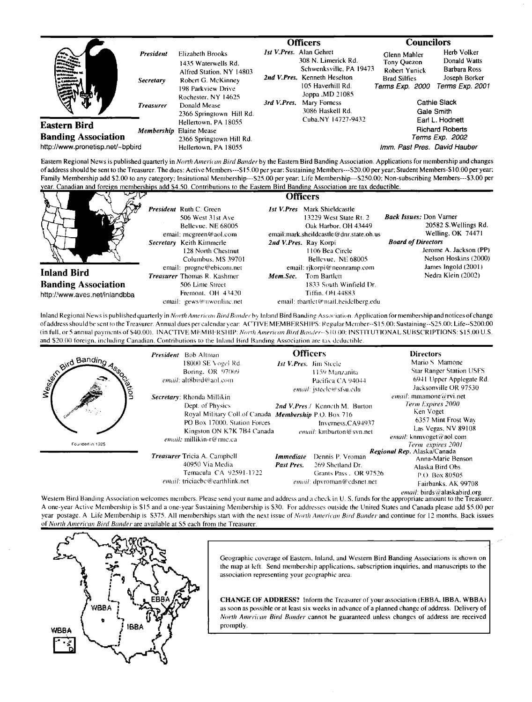|                                            |                  |                                                                                                                                                                                    |             | Officers                                                                                                                                                                                                           |                                                                                            | <b>Councilors</b>                                  |
|--------------------------------------------|------------------|------------------------------------------------------------------------------------------------------------------------------------------------------------------------------------|-------------|--------------------------------------------------------------------------------------------------------------------------------------------------------------------------------------------------------------------|--------------------------------------------------------------------------------------------|----------------------------------------------------|
|                                            | <b>President</b> | Elizabeth Brooks<br>1435 Waterwells Rd.<br>Alfred Station, NY 14803<br>Robert G. McKinney<br>198 Parkview Drive<br>Rochester, NY 14625<br>Donald Mease<br>2366 Springtown Hill Rd. | 3rd V.Pres. | <i>Ist V.Pres.</i> Alan Gehret<br>308 N. Limerick Rd.<br>Schwenksville, PA 19473<br>2nd V.Pres. Kenneth Heselton<br>105 Haverhill Rd.<br>Joppa .MD 21085<br>Mary Forness<br>3086 Haskell Rd.<br>Cuba.NY 14727-9432 | Glenn Mahler<br>Tony Quezon<br><b>Robert Yunick</b>                                        | Herb Volker<br>Donald Watts<br><b>Barbara Ross</b> |
|                                            | <b>Secretary</b> |                                                                                                                                                                                    |             |                                                                                                                                                                                                                    | <b>Brad Silfies</b><br>Terms Exp. 2000                                                     | Joseph Borker<br>Terms Exp. 2001                   |
|                                            | <b>Treasurer</b> |                                                                                                                                                                                    |             |                                                                                                                                                                                                                    | Cathie Slack<br>Gale Smith<br>Earl L. Hodnett<br><b>Richard Roberts</b><br>Terms Exp. 2002 |                                                    |
| Eastern Bird<br><b>Banding Association</b> |                  | Hellertown, PA 18055<br><b>Membership</b> Elaine Mease<br>2366 Springtown Hill Rd.                                                                                                 |             |                                                                                                                                                                                                                    |                                                                                            |                                                    |
| http://www.pronetisp.net/~bpbird           |                  | Hellertown, PA 18055                                                                                                                                                               |             |                                                                                                                                                                                                                    |                                                                                            | Imm. Past Pres. David Hauber                       |

Eastern Regional News is published quarterly in North American Bird Bander by the Eastern Bird Banding Association. Applications for membership and changes of address should be sent to the Treasurer. The dues: Active Members---\$15.00 per year: Sustaining Members---S20.00 per year; Student Members-\$10.00 per year; Family Membership add \$2.00 to any category; Insitutional Membership---\$25.00 per year: Life Membership---\$250.00; Non-subscribing Members---\$3.00 per year. Canadian and foreign memberships add \$4.50. Contributions to the Eastern Bird Banding Association are tax deductible.



Inland Regional News is published quarterly in North American Bird Bander by Inland Bird Banding Association. Application for membership and notices of change of address should be sent to the Treasurer. Annual dues per calendar year: ACTIVE MEMBERSHIPS: Regular Member--\$15.00; Sustaining--\$25.00; Life--\$200.00 (in full, or 5 annual payments of \$40.00). INACTIVE MEMBERSHIP: North American Bird Bander--\$10.00; INSTITUTIONAL SUBSCRIPTIONS: \$15.00 U.S. and \$20.00 foreign, including Canadian. Contributions to the Inland Bird Banding Association are tax deductible.

| and Banding<br>ation<br>Founded in 1925 | <b>President</b> Bob Altman<br>18000 SE Vogel Rd.<br>Boring, OR 97009<br>email: alt8bird@aol.com<br>Secretary: Rhonda Millikin<br>Dept. of Physics<br>Royal Military Coll.of Canada Membership P.O. Box 716<br>PO Box 17000, Station Forces<br>Kingston ON K7K 7B4 Canada<br>email: millikin-r@rmc.ca<br><b>Treasurer Tricia A. Campbell</b><br>40950 Via Media | <b>Officers</b><br><b>Ist V.Pres.</b> Jim Steele<br>1159 Manzanita<br>Pacifica CA 94044<br>email: jsteele@sfsu.edu<br>2nd V, Pres./ Kenneth M. Burton<br>Inverness, CA94937<br>email: kmburton@syn.net<br>Dennis P. Vroman<br><b>Immediate</b><br>Past Pres.<br>269 Shetland Dr. | <b>Directors</b><br>Mario S. Mamone<br><b>Star Ranger Station USFS</b><br>6941 Upper Applegate Rd.<br>Jacksonville OR 97530<br>email: mmamone@rvi.net<br>Term Expires 2000<br>Ken Voget<br>6357 Mint Frost Way<br>Las Vegas, NV 89108<br>email: knmvoget@aol.com<br>Term expires 2001<br>Regional Rep. Alaska/Canada<br>Anna-Marie Benson |
|-----------------------------------------|-----------------------------------------------------------------------------------------------------------------------------------------------------------------------------------------------------------------------------------------------------------------------------------------------------------------------------------------------------------------|----------------------------------------------------------------------------------------------------------------------------------------------------------------------------------------------------------------------------------------------------------------------------------|-------------------------------------------------------------------------------------------------------------------------------------------------------------------------------------------------------------------------------------------------------------------------------------------------------------------------------------------|
|                                         | Temacula CA 92591-1722<br>email: triciacbe@earthlink.net                                                                                                                                                                                                                                                                                                        | Grants Pass . OR 97526<br>email: dpyroman@cdsnet.net                                                                                                                                                                                                                             | Alaska Bird Obs.<br>P.O. Box 80505<br>Fairbanks, AK 99708<br>email: birds@alaskabird.org                                                                                                                                                                                                                                                  |

Western Bird Banding Association welcomes members. Please send your name and address and a check in U. S. funds for the appropriate amount to the Treasurer. A one-year Active Membership is \$15 and a one-year Sustaining Membership is \$30. For addresses outside the United States and Canada please add \$5.00 per year postage. A Life Membership is \$375. All memberships start with the next issue of North American Bird Bander and continue for 12 months. Back issues of North American Bird Bander are available at S5 each from the Treasurer.



Geographic coverage of Eastern, Inland, and Western Bird Banding Associations is shown on the map at left. Send membership applications, subscription inquiries, and manuscripts to the association representing your geographic area.

CHANGE OF ADDRESS? Inform the Treasurer of your association (EBBA, IBBA, WBBA) as soon as possible or at least six weeks in advance of a planned change of address. Delivery of North American Bird Bander cannot be guaranteed unless changes of address are received promptly.